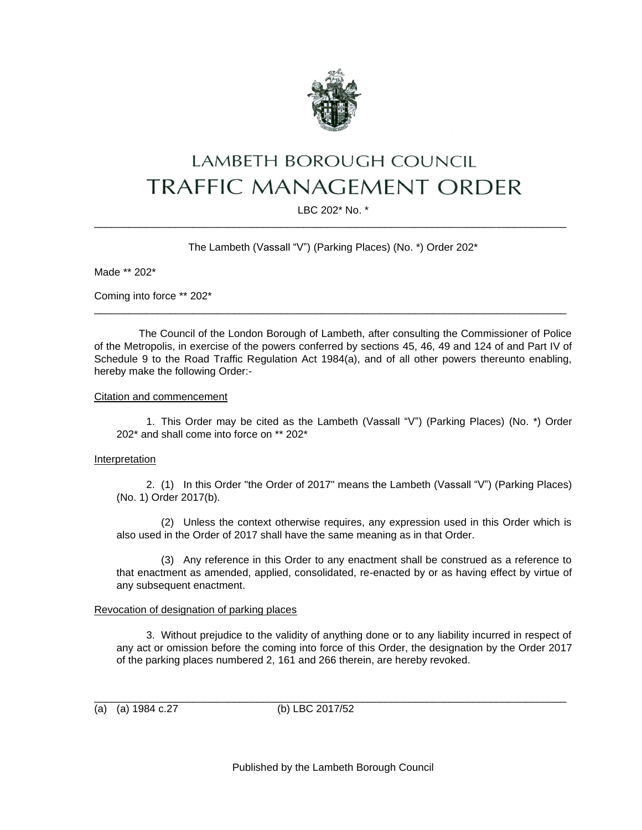

# **LAMBETH BOROUGH COUNCIL TRAFFIC MANAGEMENT ORDER**

LBC 202\* No. \* \_\_\_\_\_\_\_\_\_\_\_\_\_\_\_\_\_\_\_\_\_\_\_\_\_\_\_\_\_\_\_\_\_\_\_\_\_\_\_\_\_\_\_\_\_\_\_\_\_\_\_\_\_\_\_\_\_\_\_\_\_\_\_\_\_\_\_\_\_\_\_\_\_\_\_\_\_\_\_\_\_

The Lambeth (Vassall "V") (Parking Places) (No. \*) Order 202\*

Made \*\* 202\*

Coming into force \*\* 202\*

The Council of the London Borough of Lambeth, after consulting the Commissioner of Police of the Metropolis, in exercise of the powers conferred by sections 45, 46, 49 and 124 of and Part IV of Schedule 9 to the Road Traffic Regulation Act 1984(a), and of all other powers thereunto enabling, hereby make the following Order:-

\_\_\_\_\_\_\_\_\_\_\_\_\_\_\_\_\_\_\_\_\_\_\_\_\_\_\_\_\_\_\_\_\_\_\_\_\_\_\_\_\_\_\_\_\_\_\_\_\_\_\_\_\_\_\_\_\_\_\_\_\_\_\_\_\_\_\_\_\_\_\_\_\_\_\_\_\_\_\_\_\_

Citation and commencement

1. This Order may be cited as the Lambeth (Vassall "V") (Parking Places) (No. \*) Order 202\* and shall come into force on \*\* 202\*

#### Interpretation

2. (1) In this Order "the Order of 2017" means the Lambeth (Vassall "V") (Parking Places) (No. 1) Order 2017(b).

(2) Unless the context otherwise requires, any expression used in this Order which is also used in the Order of 2017 shall have the same meaning as in that Order.

(3) Any reference in this Order to any enactment shall be construed as a reference to that enactment as amended, applied, consolidated, re-enacted by or as having effect by virtue of any subsequent enactment.

### Revocation of designation of parking places

3. Without prejudice to the validity of anything done or to any liability incurred in respect of any act or omission before the coming into force of this Order, the designation by the Order 2017 of the parking places numbered 2, 161 and 266 therein, are hereby revoked.

(a) (a) 1984 c.27 (b) LBC 2017/52

\_\_\_\_\_\_\_\_\_\_\_\_\_\_\_\_\_\_\_\_\_\_\_\_\_\_\_\_\_\_\_\_\_\_\_\_\_\_\_\_\_\_\_\_\_\_\_\_\_\_\_\_\_\_\_\_\_\_\_\_\_\_\_\_\_\_\_\_\_\_\_\_\_\_\_\_\_\_\_\_\_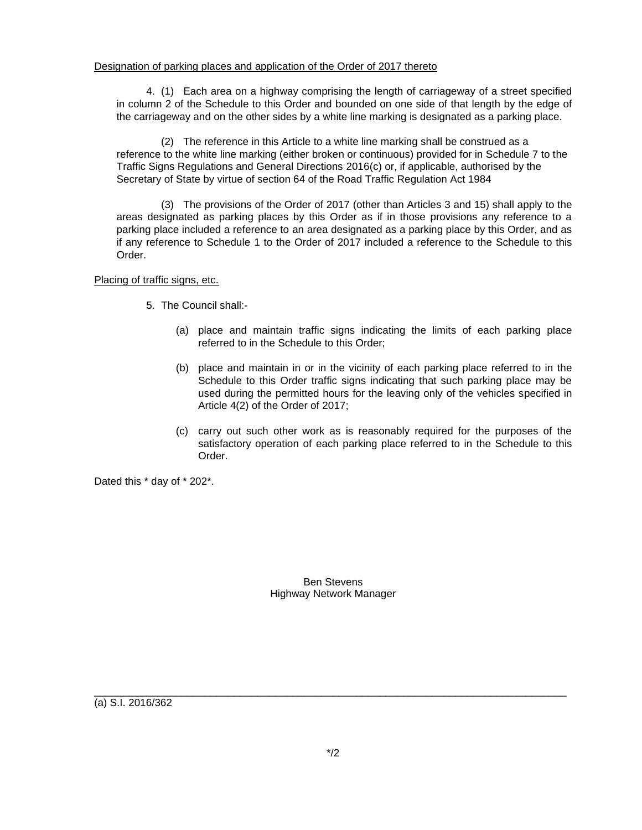## Designation of parking places and application of the Order of 2017 thereto

4. (1) Each area on a highway comprising the length of carriageway of a street specified in column 2 of the Schedule to this Order and bounded on one side of that length by the edge of the carriageway and on the other sides by a white line marking is designated as a parking place.

(2) The reference in this Article to a white line marking shall be construed as a reference to the white line marking (either broken or continuous) provided for in Schedule 7 to the Traffic Signs Regulations and General Directions 2016(c) or, if applicable, authorised by the Secretary of State by virtue of section 64 of the Road Traffic Regulation Act 1984

(3) The provisions of the Order of 2017 (other than Articles 3 and 15) shall apply to the areas designated as parking places by this Order as if in those provisions any reference to a parking place included a reference to an area designated as a parking place by this Order, and as if any reference to Schedule 1 to the Order of 2017 included a reference to the Schedule to this Order.

Placing of traffic signs, etc.

- 5. The Council shall:-
	- (a) place and maintain traffic signs indicating the limits of each parking place referred to in the Schedule to this Order;
	- (b) place and maintain in or in the vicinity of each parking place referred to in the Schedule to this Order traffic signs indicating that such parking place may be used during the permitted hours for the leaving only of the vehicles specified in Article 4(2) of the Order of 2017;
	- (c) carry out such other work as is reasonably required for the purposes of the satisfactory operation of each parking place referred to in the Schedule to this Order.

Dated this \* day of \* 202\*.

Ben Stevens Highway Network Manager

(a) S.I. 2016/362

\_\_\_\_\_\_\_\_\_\_\_\_\_\_\_\_\_\_\_\_\_\_\_\_\_\_\_\_\_\_\_\_\_\_\_\_\_\_\_\_\_\_\_\_\_\_\_\_\_\_\_\_\_\_\_\_\_\_\_\_\_\_\_\_\_\_\_\_\_\_\_\_\_\_\_\_\_\_\_\_\_